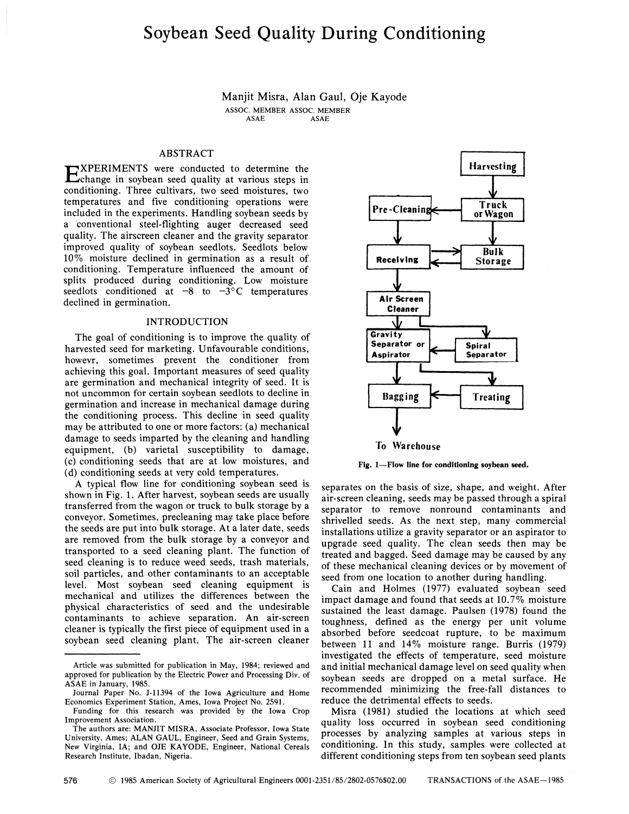# Soybean Seed Quality During Conditioning

Manjit Misra, Alan Gaul, Oje Kayode ASSOC. MEMBER ASSOC. MEMBER **ASAE** 

## ABSTRACT

EXPERIMENTS were conducted to determine the<br>
Echange in soybean seed quality at various steps in change in soybean seed quality at various steps in conditioning. Three cultivars, two seed moistures, two temperatures and five conditioning operations were included in the experiments. Handling soybean seeds by a conventional steel-flighting auger decreased seed quality. The airscreen cleaner and the gravity separator improved quality of soybean seedlots. Seedlots below 10% moisture declined in germination as a result of conditioning. Temperature influenced the amount of splits produced during conditioning. Low moisture seedlots conditioned at  $-8$  to  $-3$ °C temperatures declined in germination.

## INTRODUCTION

The goal of conditioning is to improve the quality of harvested seed for marketing. Unfavourable conditions, howevr, sometimes prevent the conditioner from achieving this goal. Important measures of seed quality are germination and mechanical integrity of seed. It is not uncommon for certain soybean seedlots to decline in germination and increase in mechanical damage during the conditioning process. This decline in seed quality may be attributed to one or more factors: (a) mechanical damage to seeds imparted by the cleaning and handling equipment, (b) varietal susceptibility to damage, (c) conditioning seeds that are at low moistures, and (d) conditioning seeds at very cold temperatures.

A typical flow line for conditioning soybean seed is shown in Fig. 1. After harvest, soybean seeds are usually transferred from the wagon or truck to bulk storage by a conveyor. Sometimes, precleaning may take place before the seeds are put into bulk storage. At a later date, seeds are removed from the bulk storage by a conveyor and transported to a seed cleaning plant. The function of seed cleaning is to reduce weed seeds, trash materials, soil particles, and other contaminants to an acceptable level. Most soybean seed cleaning equipment is mechanical and utilizes the differences between the physical characteristics of seed and the undesirable contaminants to achieve separation. An air-screen cleaner is typically the first piece of equipment used in a soybean seed cleaning plant. The air-screen cleaner



**Fig. 1**—**Flow line for conditioning soybean seed.** 

separates on the basis of size, shape, and weight. After air-screen cleaning, seeds may be passed through a spiral separator to remove nonround contaminants and shrivelled seeds. As the next step, many commercial installations utilize a gravity separator or an aspirator to upgrade seed quality. The clean seeds then may be treated and bagged. Seed damage may be caused by any of these mechanical cleaning devices or by movement of seed from one location to another during handling.

Cain and Holmes (1977) evaluated soybean seed impact damage and found that seeds at 10.7% moisture sustained the least damage. Paulsen (1978) found the toughness, defined as the energy per unit volume absorbed before seedcoat rupture, to be maximum between 11 and 14% moisture range. Burris (1979) investigated the effects of temperature, seed moisture and initial mechanical damage level on seed quality when soybean seeds are dropped on a metal surface. He recommended minimizing the free-fall distances to reduce the detrimental effects to seeds.

Misra (1981) studied the locations at which seed quality loss occurred in soybean seed conditioning processes by analyzing samples at various steps in conditioning. In this study, samples were collected at different conditioning steps from ten soybean seed plants

Article was submitted for publication in May, 1984; reviewed and approved for publication by the Electric Power and Processing Div. of ASAE in January, 1985.

Journal Paper No. J-11394 of the Iowa Agriculture and Home Economics Experiment Station, Ames, Iowa Project No. 2591.

Funding for this research was provided by the Iowa Crop Improvement Association.

The authors are: MANJIT MISRA, Associate Professor, Iowa State University, Ames; ALAN GAUL, Engineer, Seed and Grain Systems, New Virginia, IA; and OJE KAYODE, Engineer, National Cereals Research Institute, Ibadan, Nigeria.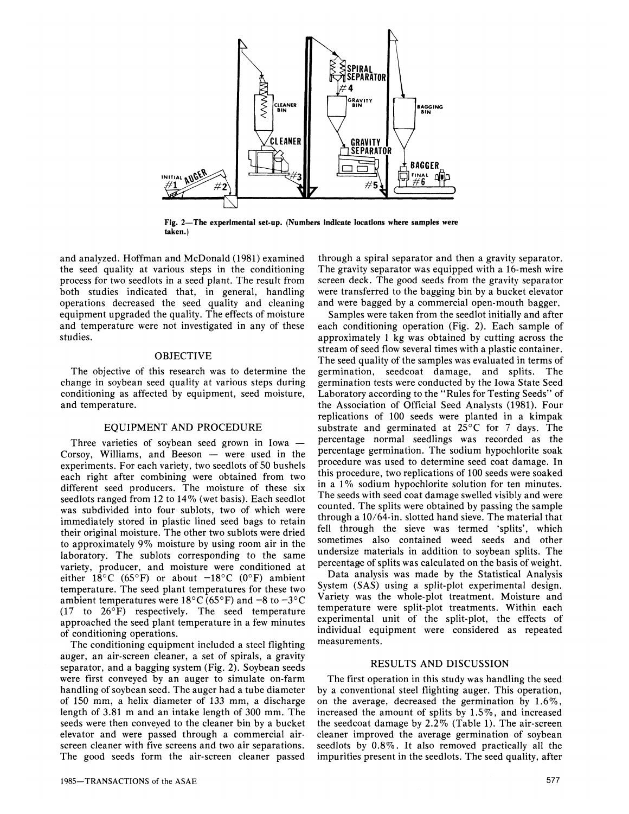

**Fig. 2—The experimental set-up. (Numbers indicate locations where samples were taken.)** 

and analyzed. Hoffman and McDonald (1981) examined the seed quality at various steps in the conditioning process for two seedlots in a seed plant. The result from both studies indicated that, in general, handling operations decreased the seed quality and cleaning equipment upgraded the quality. The effects of moisture and temperature were not investigated in any of these studies.

# OBJECTIVE

The objective of this research was to determine the change in soybean seed quality at various steps during conditioning as affected by equipment, seed moisture, and temperature.

## EQUIPMENT AND PROCEDURE

Three varieties of soybean seed grown in Iowa — Corsoy, Williams, and Beeson — were used in the experiments. For each variety, two seedlots of 50 bushels each right after combining were obtained from two different seed producers. The moisture of these six seedlots ranged from 12 to 14% (wet basis). Each seedlot was subdivided into four sublots, two of which were immediately stored in plastic lined seed bags to retain their original moisture. The other two sublots were dried to approximately 9% moisture by using room air in the laboratory. The sublots corresponding to the same variety, producer, and moisture were conditioned at either 18°C (65°F) or about  $-18$ °C (0°F) ambient temperature. The seed plant temperatures for these two ambient temperatures were 18°C (65°F) and  $-8$  to  $-3$ °C  $(17 \text{ to } 26^{\circ} \text{F})$  respectively. The seed temperature approached the seed plant temperature in a few minutes of conditioning operations.

The conditioning equipment included a steel flighting auger, an air-screen cleaner, a set of spirals, a gravity separator, and a bagging system (Fig. 2). Soybean seeds were first conveyed by an auger to simulate on-farm handling of soybean seed. The auger had a tube diameter of 150 mm, a helix diameter of 133 mm, a discharge length of 3.81 m and an intake length of 300 mm. The seeds were then conveyed to the cleaner bin by a bucket elevator and were passed through a commercial airscreen cleaner with five screens and two air separations. The good seeds form the air-screen cleaner passed

through a spiral separator and then a gravity separator. The gravity separator was equipped with a 16-mesh wire screen deck. The good seeds from the gravity separator were transferred to the bagging bin by a bucket elevator and were bagged by a commercial open-mouth bagger.

Samples were taken from the seedlot initially and after each conditioning operation (Fig. 2). Each sample of approximately 1 kg was obtained by cutting across the stream of seed flow several times with a plastic container. The seed quality of the samples was evaluated in terms of germination, seedcoat damage, and splits. The germination tests were conducted by the Iowa State Seed Laboratory according to the "Rules for Testing Seeds" of the Association of Official Seed Analysts (1981). Four replications of 100 seeds were planted in a kimpak substrate and germinated at 25°C for 7 days. The percentage normal seedlings was recorded as the percentage germination. The sodium hypochlorite soak procedure was used to determine seed coat damage. In this procedure, two replications of 100 seeds were soaked in a 1% sodium hypochlorite solution for ten minutes. The seeds with seed coat damage swelled visibly and were counted. The splits were obtained by passing the sample through a 10/64-in. slotted hand sieve. The material that fell through the sieve was termed 'splits', which sometimes also contained weed seeds and other undersize materials in addition to soybean splits. The percentage of splits was calculated on the basis of weight.

Data analysis was made by the Statistical Analysis System (SAS) using a split-plot experimental design. Variety was the whole-plot treatment. Moisture and temperature were split-plot treatments. Within each experimental unit of the split-plot, the effects of individual equipment were considered as repeated measurements.

## RESULTS AND DISCUSSION

The first operation in this study was handling the seed by a conventional steel flighting auger. This operation, on the average, decreased the germination by 1.6%, increased the amount of splits by 1.5%, and increased the seedcoat damage by 2.2% (Table 1). The air-screen cleaner improved the average germination of soybean seedlots by 0.8%. It also removed practically all the impurities present in the seedlots. The seed quality, after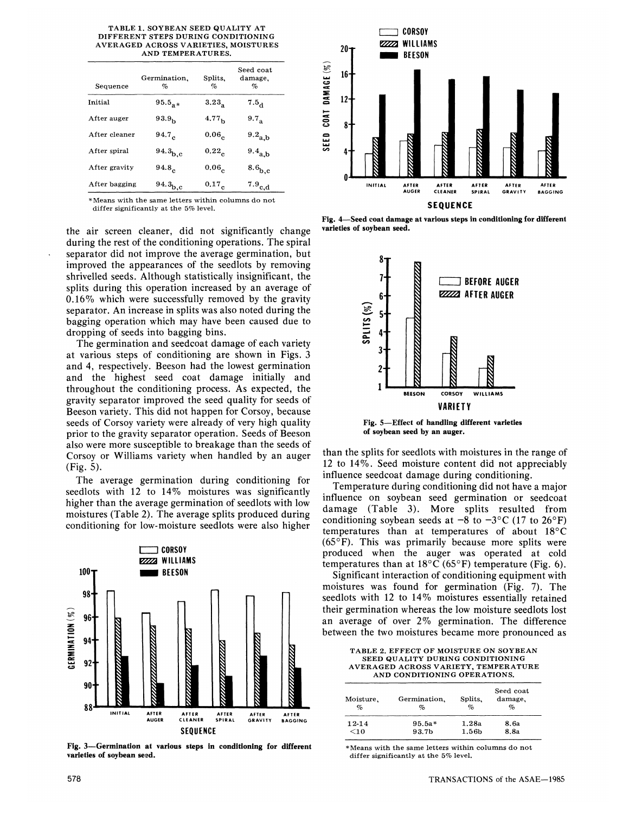| TABLE 1. SOYBEAN SEED QUALITY AT     |
|--------------------------------------|
| DIFFERENT STEPS DURING CONDITIONING  |
| AVERAGED ACROSS VARIETIES. MOISTURES |
| AND TEMPERATURES.                    |
|                                      |

| Sequence      | Germination.<br>% | Splits.<br>%      | Seed coat<br>damage.<br>% |
|---------------|-------------------|-------------------|---------------------------|
| Initial       | $95.5_{\circ}$ *  | 3.23 <sub>2</sub> | $7.5_{\mu}$               |
| After auger   | 93.9 <sub>b</sub> | 4.77 <sub>h</sub> | 9.7 <sub>2</sub>          |
| After cleaner | 94.7 <sub>c</sub> | 0.06 <sub>c</sub> | $9.2_{\rm a,b}$           |
| After spiral  | $94.3_{b,c}$      | $0.22_c$          | $9.4_{a,b}$               |
| After gravity | 94.8 <sub>c</sub> | 0.06 <sub>c</sub> | 8.6 <sub>b,c</sub>        |
| After bagging | $94.3_{b,c}$      | $0.17_c$          | $^{7.9}$ c,d              |

\* Means with the same letters within columns do not differ significantly at the 5% level.

the air screen cleaner, did not significantly change during the rest of the conditioning operations. The spiral separator did not improve the average germination, but improved the appearances of the seedlots by removing shrivelled seeds. Although statistically insignificant, the splits during this operation increased by an average of 0.16% which were successfully removed by the gravity separator. An increase in splits was also noted during the bagging operation which may have been caused due to dropping of seeds into bagging bins.

The germination and seedcoat damage of each variety at various steps of conditioning are shown in Figs. 3 and 4, respectively. Beeson had the lowest germination and the highest seed coat damage initially and throughout the conditioning process. As expected, the gravity separator improved the seed quality for seeds of Beeson variety. This did not happen for Corsoy, because seeds of Corsoy variety were already of very high quality prior to the gravity separator operation. Seeds of Beeson also were more susceptible to breakage than the seeds of Corsoy or Williams variety when handled by an auger (Fig. 5).

The average germination during conditioning for seedlots with 12 to 14% moistures was significantly higher than the average germination of seedlots with low moistures (Table 2). The average splits produced during conditioning for low-moisture seedlots were also higher



**Fig. 3—Germination at various steps in conditioning for different varieties of soybean seed.** 



**Fig. 4**—**Seed coat damage at various steps in conditioning for different varieties of soybean seed.** 



**Fig. 5**—**Effect of handling different varieties of soybean seed by an auger.** 

than the splits for seedlots with moistures in the range of 12 to 14%. Seed moisture content did not appreciably influence seedcoat damage during conditioning.

Temperature during conditioning did not have a major influence on soybean seed germination or seedcoat damage (Table 3). More splits resulted from conditioning soybean seeds at  $-8$  to  $-3$ °C (17 to 26°F) temperatures than at temperatures of about 18°C  $(65^{\circ}F)$ . This was primarily because more splits were produced when the auger was operated at cold temperatures than at  $18^{\circ}$ C (65°F) temperature (Fig. 6).

Significant interaction of conditioning equipment with moistures was found for germination (Fig. 7). The seedlots with 12 to 14% moistures essentially retained their germination whereas the low moisture seedlots lost an average of over 2% germination. The difference between the two moistures became more pronounced as

TABLE 2. EFFECT OF MOISTURE ON SOYBEAN SEED QUALITY DURING CONDITIONING AVERAGED ACROSS VARIETY, TEMPERATURE AND CONDITIONING OPERATIONS.

| Moisture,<br>$\%$ | Germination.<br>$\%$ | Splits.<br>%      | Seed coat<br>damage,<br>% |
|-------------------|----------------------|-------------------|---------------------------|
| 12-14             | $95.5a*$             | 1.28a             | 8.6a                      |
| $<$ 10            | 93.7b                | 1.56 <sub>b</sub> | 8.8a                      |

\* Means with the same letters within columns do not differ significantly at the 5% level.